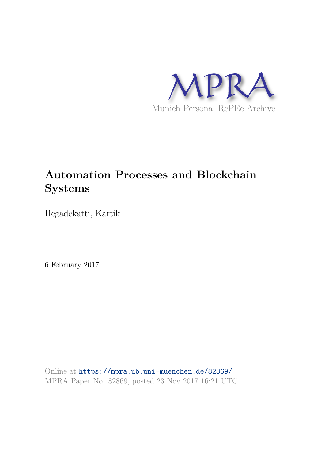

# **Automation Processes and Blockchain Systems**

Hegadekatti, Kartik

6 February 2017

Online at https://mpra.ub.uni-muenchen.de/82869/ MPRA Paper No. 82869, posted 23 Nov 2017 16:21 UTC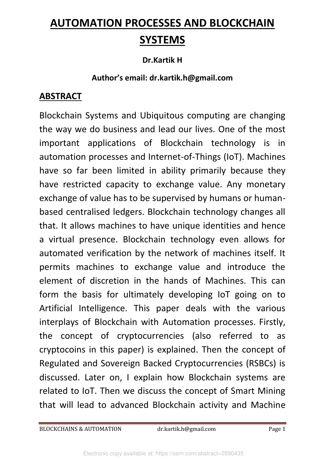# **AUTOMATION PROCESSES AND BLOCKCHAIN SYSTEMS**

#### **Dr.Kartik H**

#### **Author's email: dr.kartik.h@gmail.com**

#### **ABSTRACT**

Blockchain Systems and Ubiquitous computing are changing the way we do business and lead our lives. One of the most important applications of Blockchain technology is in automation processes and Internet-of-Things (IoT). Machines have so far been limited in ability primarily because they have restricted capacity to exchange value. Any monetary exchange of value has to be supervised by humans or humanbased centralised ledgers. Blockchain technology changes all that. It allows machines to have unique identities and hence a virtual presence. Blockchain technology even allows for automated verification by the network of machines itself. It permits machines to exchange value and introduce the element of discretion in the hands of Machines. This can form the basis for ultimately developing IoT going on to Artificial Intelligence. This paper deals with the various interplays of Blockchain with Automation processes. Firstly, the concept of cryptocurrencies (also referred to as cryptocoins in this paper) is explained. Then the concept of Regulated and Sovereign Backed Cryptocurrencies (RSBCs) is discussed. Later on, I explain how Blockchain systems are related to IoT. Then we discuss the concept of Smart Mining that will lead to advanced Blockchain activity and Machine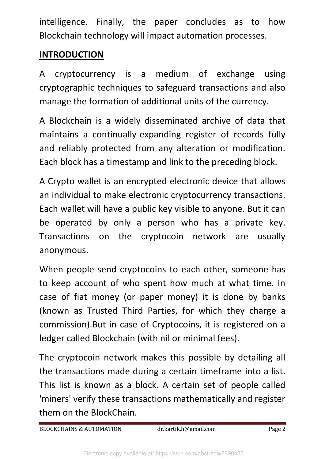intelligence. Finally, the paper concludes as to how Blockchain technology will impact automation processes.

### **INTRODUCTION**

A cryptocurrency is a medium of exchange using cryptographic techniques to safeguard transactions and also manage the formation of additional units of the currency.

A Blockchain is a widely disseminated archive of data that maintains a continually-expanding register of records fully and reliably protected from any alteration or modification. Each block has a timestamp and link to the preceding block.

A Crypto wallet is an encrypted electronic device that allows an individual to make electronic cryptocurrency transactions. Each wallet will have a public key visible to anyone. But it can be operated by only a person who has a private key. Transactions on the cryptocoin network are usually anonymous.

When people send cryptocoins to each other, someone has to keep account of who spent how much at what time. In case of fiat money (or paper money) it is done by banks (known as Trusted Third Parties, for which they charge a commission).But in case of Cryptocoins, it is registered on a ledger called Blockchain (with nil or minimal fees).

The cryptocoin network makes this possible by detailing all the transactions made during a certain timeframe into a list. This list is known as a block. A certain set of people called 'miners' verify these transactions mathematically and register them on the BlockChain.

BLOCKCHAINS & AUTOMATION dr.kartik.h@gmail.com Page 2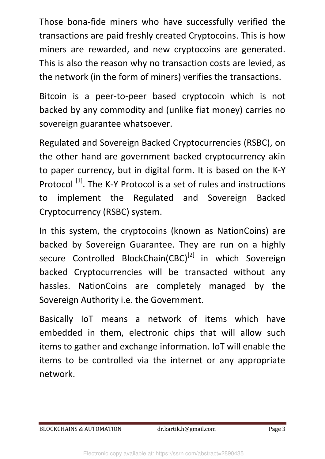Those bona-fide miners who have successfully verified the transactions are paid freshly created Cryptocoins. This is how miners are rewarded, and new cryptocoins are generated. This is also the reason why no transaction costs are levied, as the network (in the form of miners) verifies the transactions.

Bitcoin is a peer-to-peer based cryptocoin which is not backed by any commodity and (unlike fiat money) carries no sovereign guarantee whatsoever.

Regulated and Sovereign Backed Cryptocurrencies (RSBC), on the other hand are government backed cryptocurrency akin to paper currency, but in digital form. It is based on the K-Y Protocol<sup>[1]</sup>. The K-Y Protocol is a set of rules and instructions to implement the Regulated and Sovereign Backed Cryptocurrency (RSBC) system.

In this system, the cryptocoins (known as NationCoins) are backed by Sovereign Guarantee. They are run on a highly secure Controlled BlockChain(CBC)<sup>[2]</sup> in which Sovereign backed Cryptocurrencies will be transacted without any hassles. NationCoins are completely managed by the Sovereign Authority i.e. the Government.

Basically IoT means a network of items which have embedded in them, electronic chips that will allow such items to gather and exchange information. IoT will enable the items to be controlled via the internet or any appropriate network.

BLOCKCHAINS & AUTOMATION dr.kartik.h@gmail.com Page 3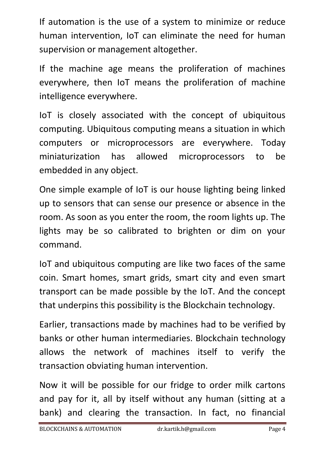If automation is the use of a system to minimize or reduce human intervention, IoT can eliminate the need for human supervision or management altogether.

If the machine age means the proliferation of machines everywhere, then IoT means the proliferation of machine intelligence everywhere.

IoT is closely associated with the concept of ubiquitous computing. Ubiquitous computing means a situation in which computers or microprocessors are everywhere. Today miniaturization has allowed microprocessors to be embedded in any object.

One simple example of IoT is our house lighting being linked up to sensors that can sense our presence or absence in the room. As soon as you enter the room, the room lights up. The lights may be so calibrated to brighten or dim on your command.

IoT and ubiquitous computing are like two faces of the same coin. Smart homes, smart grids, smart city and even smart transport can be made possible by the IoT. And the concept that underpins this possibility is the Blockchain technology.

Earlier, transactions made by machines had to be verified by banks or other human intermediaries. Blockchain technology allows the network of machines itself to verify the transaction obviating human intervention.

Now it will be possible for our fridge to order milk cartons and pay for it, all by itself without any human (sitting at a bank) and clearing the transaction. In fact, no financial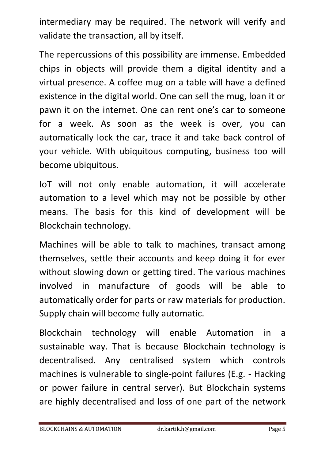intermediary may be required. The network will verify and validate the transaction, all by itself.

The repercussions of this possibility are immense. Embedded chips in objects will provide them a digital identity and a virtual presence. A coffee mug on a table will have a defined existence in the digital world. One can sell the mug, loan it or pawn it on the internet. One can rent one's car to someone for a week. As soon as the week is over, you can automatically lock the car, trace it and take back control of your vehicle. With ubiquitous computing, business too will become ubiquitous.

IoT will not only enable automation, it will accelerate automation to a level which may not be possible by other means. The basis for this kind of development will be Blockchain technology.

Machines will be able to talk to machines, transact among themselves, settle their accounts and keep doing it for ever without slowing down or getting tired. The various machines involved in manufacture of goods will be able to automatically order for parts or raw materials for production. Supply chain will become fully automatic.

Blockchain technology will enable Automation in a sustainable way. That is because Blockchain technology is decentralised. Any centralised system which controls machines is vulnerable to single-point failures (E.g. - Hacking or power failure in central server). But Blockchain systems are highly decentralised and loss of one part of the network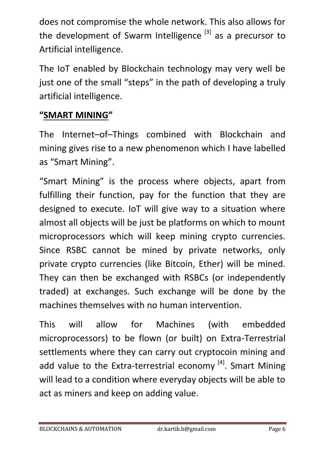does not compromise the whole network. This also allows for the development of Swarm Intelligence  $[3]$  as a precursor to Artificial intelligence.

The IoT enabled by Blockchain technology may very well be just one of the small "steps" in the path of developing a truly artificial intelligence.

#### **"SMART MINING"**

The Internet–of–Things combined with Blockchain and mining gives rise to a new phenomenon which I have labelled as "Smart Mining".

"Smart Mining" is the process where objects, apart from fulfilling their function, pay for the function that they are designed to execute. IoT will give way to a situation where almost all objects will be just be platforms on which to mount microprocessors which will keep mining crypto currencies. Since RSBC cannot be mined by private networks, only private crypto currencies (like Bitcoin, Ether) will be mined. They can then be exchanged with RSBCs (or independently traded) at exchanges. Such exchange will be done by the machines themselves with no human intervention.

This will allow for Machines (with embedded microprocessors) to be flown (or built) on Extra-Terrestrial settlements where they can carry out cryptocoin mining and add value to the Extra-terrestrial economy  $^{[4]}$ . Smart Mining will lead to a condition where everyday objects will be able to act as miners and keep on adding value.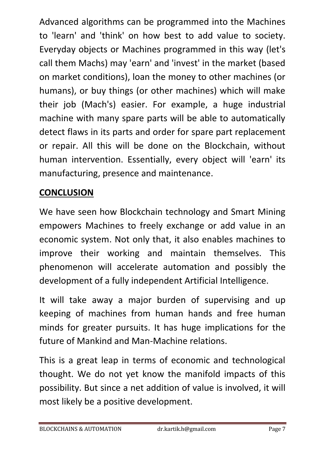Advanced algorithms can be programmed into the Machines to 'learn' and 'think' on how best to add value to society. Everyday objects or Machines programmed in this way (let's call them Machs) may 'earn' and 'invest' in the market (based on market conditions), loan the money to other machines (or humans), or buy things (or other machines) which will make their job (Mach's) easier. For example, a huge industrial machine with many spare parts will be able to automatically detect flaws in its parts and order for spare part replacement or repair. All this will be done on the Blockchain, without human intervention. Essentially, every object will 'earn' its manufacturing, presence and maintenance.

## **CONCLUSION**

We have seen how Blockchain technology and Smart Mining empowers Machines to freely exchange or add value in an economic system. Not only that, it also enables machines to improve their working and maintain themselves. This phenomenon will accelerate automation and possibly the development of a fully independent Artificial Intelligence.

It will take away a major burden of supervising and up keeping of machines from human hands and free human minds for greater pursuits. It has huge implications for the future of Mankind and Man-Machine relations.

This is a great leap in terms of economic and technological thought. We do not yet know the manifold impacts of this possibility. But since a net addition of value is involved, it will most likely be a positive development.